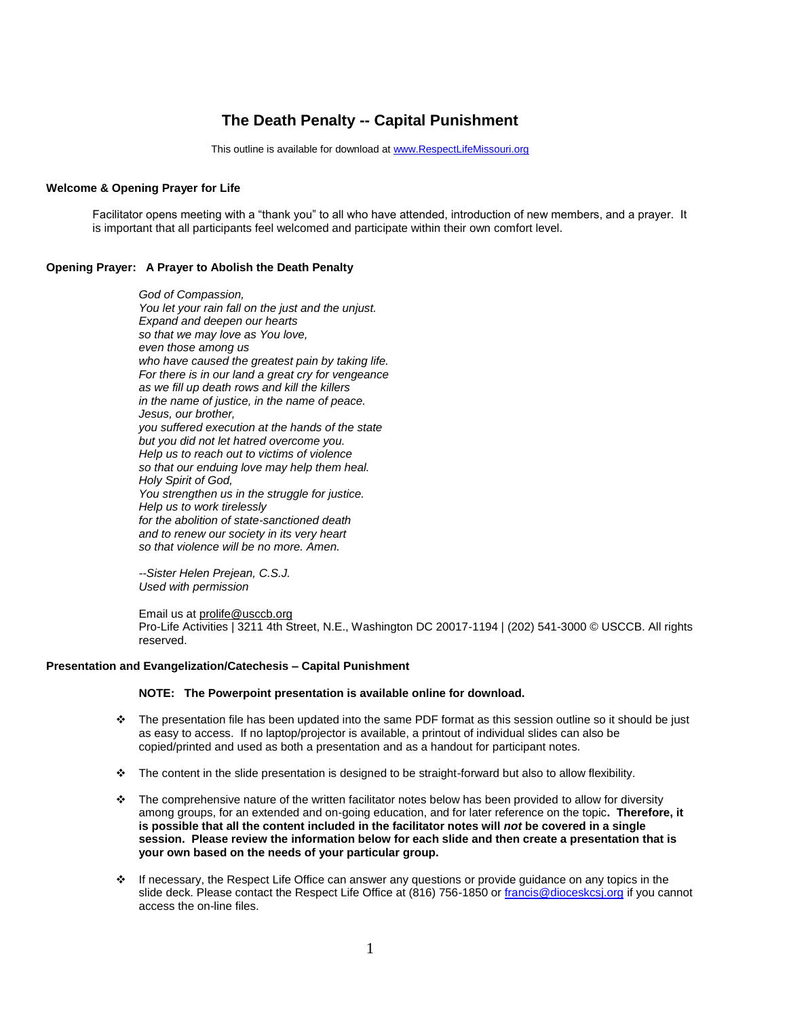# **The Death Penalty -- Capital Punishment**

This outline is available for download at [www.RespectLifeMissouri.org](http://www.respectlifemissouri.org/)

# **Welcome & Opening Prayer for Life**

Facilitator opens meeting with a "thank you" to all who have attended, introduction of new members, and a prayer. It is important that all participants feel welcomed and participate within their own comfort level.

## **Opening Prayer: A Prayer to Abolish the Death Penalty**

*God of Compassion, You let your rain fall on the just and the unjust. Expand and deepen our hearts so that we may love as You love, even those among us who have caused the greatest pain by taking life. For there is in our land a great cry for vengeance as we fill up death rows and kill the killers in the name of justice, in the name of peace. Jesus, our brother, you suffered execution at the hands of the state but you did not let hatred overcome you. Help us to reach out to victims of violence so that our enduing love may help them heal. Holy Spirit of God, You strengthen us in the struggle for justice. Help us to work tirelessly for the abolition of state-sanctioned death and to renew our society in its very heart so that violence will be no more. Amen.*

*--Sister Helen Prejean, C.S.J. Used with permission*

Email us at [prolife@usccb.org](mailto:prolife@usccb.org) Pro-Life Activities | 3211 4th Street, N.E., Washington DC 20017-1194 | (202) 541-3000 © USCCB. All rights reserved.

#### **Presentation and Evangelization/Catechesis – Capital Punishment**

# **NOTE: The Powerpoint presentation is available online for download.**

- The presentation file has been updated into the same PDF format as this session outline so it should be just as easy to access. If no laptop/projector is available, a printout of individual slides can also be copied/printed and used as both a presentation and as a handout for participant notes.
- The content in the slide presentation is designed to be straight-forward but also to allow flexibility.
- $\cdot \cdot$  The comprehensive nature of the written facilitator notes below has been provided to allow for diversity among groups, for an extended and on-going education, and for later reference on the topic**. Therefore, it is possible that all the content included in the facilitator notes will** *not* **be covered in a single session. Please review the information below for each slide and then create a presentation that is your own based on the needs of your particular group.**
- $\cdot \cdot$  If necessary, the Respect Life Office can answer any questions or provide guidance on any topics in the slide deck. Please contact the Respect Life Office at (816) 756-1850 o[r francis@dioceskcsj.org](mailto:francis@dioceskcsj.org) if you cannot access the on-line files.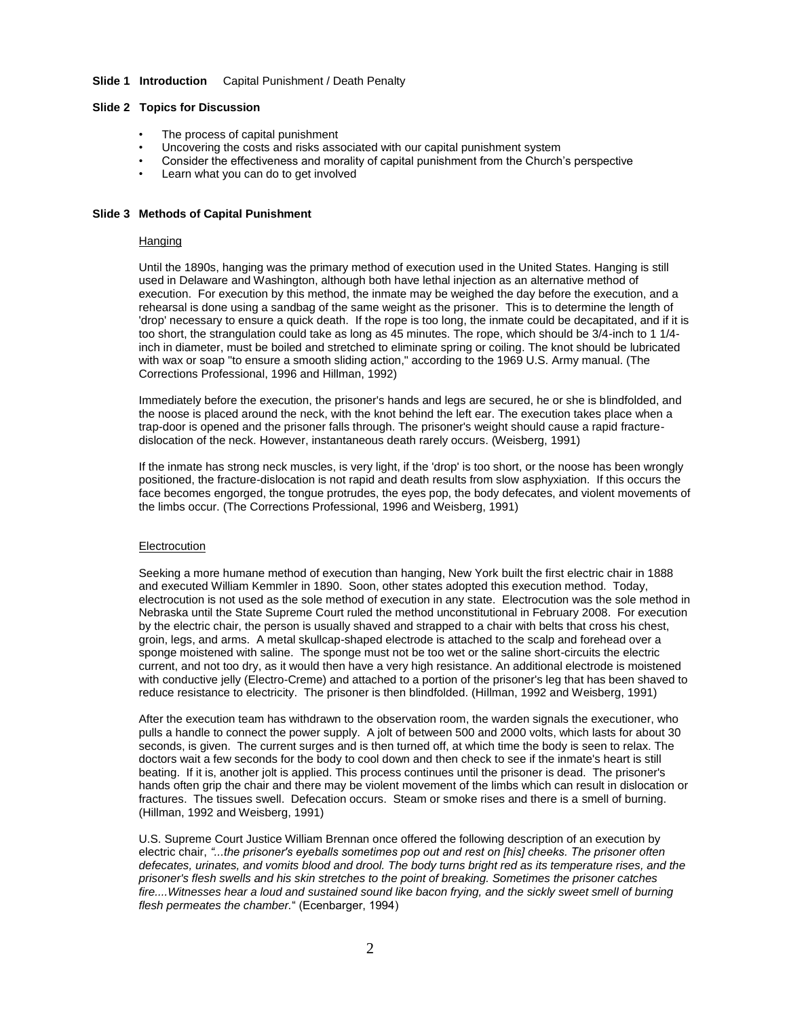#### **Slide 1 Introduction** Capital Punishment / Death Penalty

## **Slide 2 Topics for Discussion**

- The process of capital punishment
- Uncovering the costs and risks associated with our capital punishment system
- Consider the effectiveness and morality of capital punishment from the Church's perspective
- Learn what you can do to get involved

#### **Slide 3 Methods of Capital Punishment**

#### **Hanging**

Until the 1890s, hanging was the primary method of execution used in the United States. Hanging is still used in Delaware and Washington, although both have lethal injection as an alternative method of execution. For execution by this method, the inmate may be weighed the day before the execution, and a rehearsal is done using a sandbag of the same weight as the prisoner. This is to determine the length of 'drop' necessary to ensure a quick death. If the rope is too long, the inmate could be decapitated, and if it is too short, the strangulation could take as long as 45 minutes. The rope, which should be 3/4-inch to 1 1/4 inch in diameter, must be boiled and stretched to eliminate spring or coiling. The knot should be lubricated with wax or soap "to ensure a smooth sliding action," according to the 1969 U.S. Army manual. (The Corrections Professional, 1996 and Hillman, 1992)

Immediately before the execution, the prisoner's hands and legs are secured, he or she is blindfolded, and the noose is placed around the neck, with the knot behind the left ear. The execution takes place when a trap-door is opened and the prisoner falls through. The prisoner's weight should cause a rapid fracturedislocation of the neck. However, instantaneous death rarely occurs. (Weisberg, 1991)

If the inmate has strong neck muscles, is very light, if the 'drop' is too short, or the noose has been wrongly positioned, the fracture-dislocation is not rapid and death results from slow asphyxiation. If this occurs the face becomes engorged, the tongue protrudes, the eyes pop, the body defecates, and violent movements of the limbs occur. (The Corrections Professional, 1996 and Weisberg, 1991)

#### **Electrocution**

Seeking a more humane method of execution than hanging, New York built the first electric chair in 1888 and executed William Kemmler in 1890. Soon, other states adopted this execution method. Today, electrocution is not used as the sole method of execution in any state. Electrocution was the sole method in Nebraska until the State Supreme Court ruled the method unconstitutional in February 2008. For execution by the electric chair, the person is usually shaved and strapped to a chair with belts that cross his chest, groin, legs, and arms. A metal skullcap-shaped electrode is attached to the scalp and forehead over a sponge moistened with saline. The sponge must not be too wet or the saline short-circuits the electric current, and not too dry, as it would then have a very high resistance. An additional electrode is moistened with conductive jelly (Electro-Creme) and attached to a portion of the prisoner's leg that has been shaved to reduce resistance to electricity. The prisoner is then blindfolded. (Hillman, 1992 and Weisberg, 1991)

After the execution team has withdrawn to the observation room, the warden signals the executioner, who pulls a handle to connect the power supply. A jolt of between 500 and 2000 volts, which lasts for about 30 seconds, is given. The current surges and is then turned off, at which time the body is seen to relax. The doctors wait a few seconds for the body to cool down and then check to see if the inmate's heart is still beating. If it is, another jolt is applied. This process continues until the prisoner is dead. The prisoner's hands often grip the chair and there may be violent movement of the limbs which can result in dislocation or fractures. The tissues swell. Defecation occurs. Steam or smoke rises and there is a smell of burning. (Hillman, 1992 and Weisberg, 1991)

U.S. Supreme Court Justice William Brennan once offered the following description of an execution by electric chair, *"...the prisoner's eyeballs sometimes pop out and rest on [his] cheeks. The prisoner often defecates, urinates, and vomits blood and drool. The body turns bright red as its temperature rises, and the prisoner's flesh swells and his skin stretches to the point of breaking. Sometimes the prisoner catches fire....Witnesses hear a loud and sustained sound like bacon frying, and the sickly sweet smell of burning flesh permeates the chamber.*" (Ecenbarger, 1994)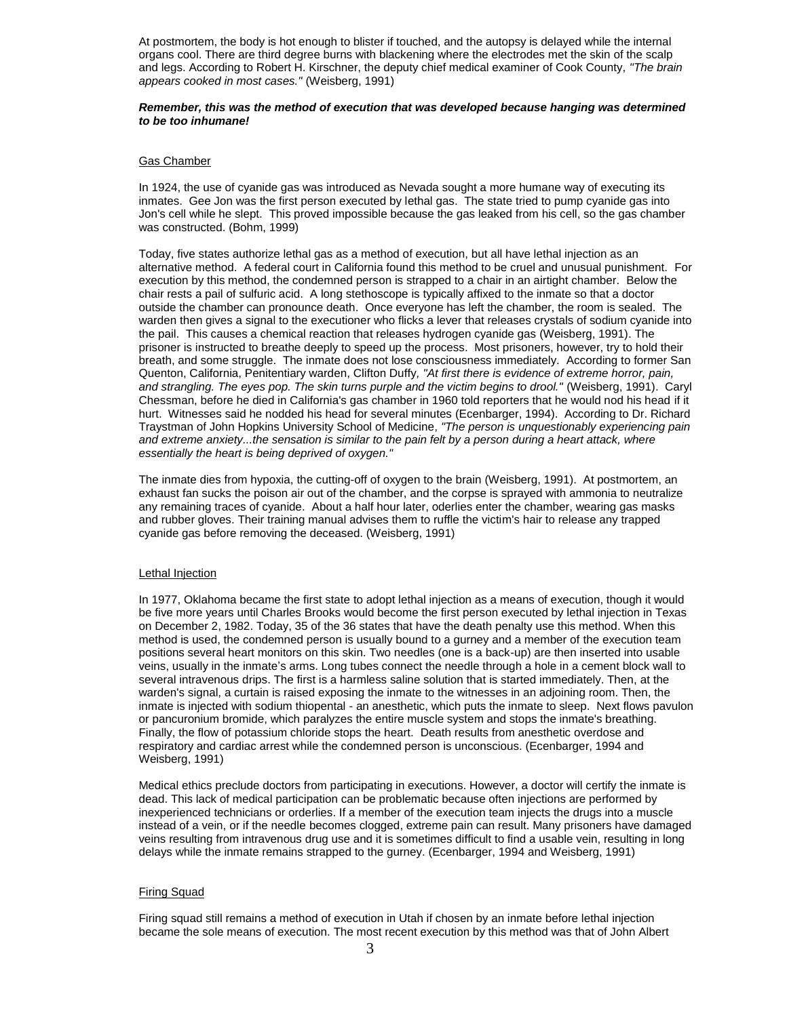At postmortem, the body is hot enough to blister if touched, and the autopsy is delayed while the internal organs cool. There are third degree burns with blackening where the electrodes met the skin of the scalp and legs. According to Robert H. Kirschner, the deputy chief medical examiner of Cook County, *"The brain appears cooked in most cases."* (Weisberg, 1991)

#### *Remember, this was the method of execution that was developed because hanging was determined to be too inhumane!*

#### Gas Chamber

In 1924, the use of cyanide gas was introduced as Nevada sought a more humane way of executing its inmates. Gee Jon was the first person executed by lethal gas. The state tried to pump cyanide gas into Jon's cell while he slept. This proved impossible because the gas leaked from his cell, so the gas chamber was constructed. (Bohm, 1999)

Today, five states authorize lethal gas as a method of execution, but all have lethal injection as an alternative method. A federal court in California found this method to be cruel and unusual punishment. For execution by this method, the condemned person is strapped to a chair in an airtight chamber. Below the chair rests a pail of sulfuric acid. A long stethoscope is typically affixed to the inmate so that a doctor outside the chamber can pronounce death. Once everyone has left the chamber, the room is sealed. The warden then gives a signal to the executioner who flicks a lever that releases crystals of sodium cyanide into the pail. This causes a chemical reaction that releases hydrogen cyanide gas (Weisberg, 1991). The prisoner is instructed to breathe deeply to speed up the process. Most prisoners, however, try to hold their breath, and some struggle. The inmate does not lose consciousness immediately. According to former San Quenton, California, Penitentiary warden, Clifton Duffy*, "At first there is evidence of extreme horror, pain, and strangling. The eyes pop. The skin turns purple and the victim begins to drool."* (Weisberg, 1991). Caryl Chessman, before he died in California's gas chamber in 1960 told reporters that he would nod his head if it hurt. Witnesses said he nodded his head for several minutes (Ecenbarger, 1994). According to Dr. Richard Traystman of John Hopkins University School of Medicine, *"The person is unquestionably experiencing pain and extreme anxiety...the sensation is similar to the pain felt by a person during a heart attack, where essentially the heart is being deprived of oxygen."*

The inmate dies from hypoxia, the cutting-off of oxygen to the brain (Weisberg, 1991). At postmortem, an exhaust fan sucks the poison air out of the chamber, and the corpse is sprayed with ammonia to neutralize any remaining traces of cyanide. About a half hour later, oderlies enter the chamber, wearing gas masks and rubber gloves. Their training manual advises them to ruffle the victim's hair to release any trapped cyanide gas before removing the deceased. (Weisberg, 1991)

#### Lethal Injection

In 1977, Oklahoma became the first state to adopt lethal injection as a means of execution, though it would be five more years until Charles Brooks would become the first person executed by lethal injection in Texas on December 2, 1982. Today, 35 of the 36 states that have the death penalty use this method. When this method is used, the condemned person is usually bound to a gurney and a member of the execution team positions several heart monitors on this skin. Two needles (one is a back-up) are then inserted into usable veins, usually in the inmate's arms. Long tubes connect the needle through a hole in a cement block wall to several intravenous drips. The first is a harmless saline solution that is started immediately. Then, at the warden's signal, a curtain is raised exposing the inmate to the witnesses in an adjoining room. Then, the inmate is injected with sodium thiopental - an anesthetic, which puts the inmate to sleep. Next flows pavulon or pancuronium bromide, which paralyzes the entire muscle system and stops the inmate's breathing. Finally, the flow of potassium chloride stops the heart. Death results from anesthetic overdose and respiratory and cardiac arrest while the condemned person is unconscious. (Ecenbarger, 1994 and Weisberg, 1991)

Medical ethics preclude doctors from participating in executions. However, a doctor will certify the inmate is dead. This lack of medical participation can be problematic because often injections are performed by inexperienced technicians or orderlies. If a member of the execution team injects the drugs into a muscle instead of a vein, or if the needle becomes clogged, extreme pain can result. Many prisoners have damaged veins resulting from intravenous drug use and it is sometimes difficult to find a usable vein, resulting in long delays while the inmate remains strapped to the gurney. (Ecenbarger, 1994 and Weisberg, 1991)

#### Firing Squad

Firing squad still remains a method of execution in Utah if chosen by an inmate before lethal injection became the sole means of execution. The most recent execution by this method was that of John Albert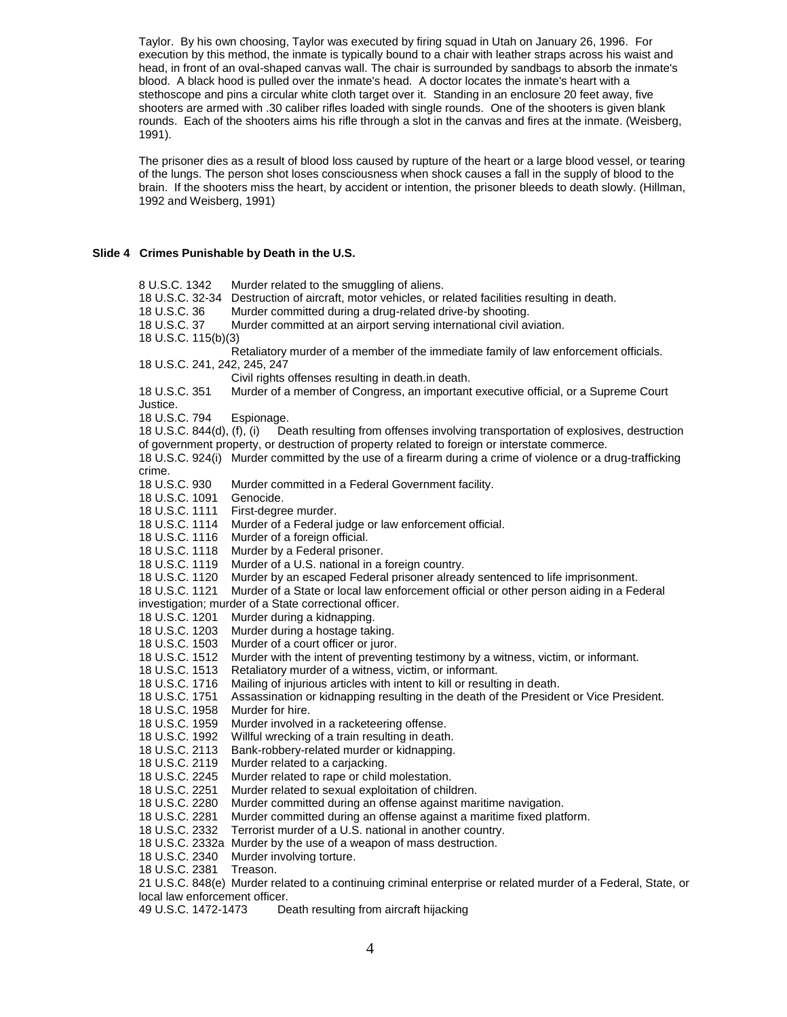Taylor. By his own choosing, Taylor was executed by firing squad in Utah on January 26, 1996. For execution by this method, the inmate is typically bound to a chair with leather straps across his waist and head, in front of an oval-shaped canvas wall. The chair is surrounded by sandbags to absorb the inmate's blood. A black hood is pulled over the inmate's head. A doctor locates the inmate's heart with a stethoscope and pins a circular white cloth target over it. Standing in an enclosure 20 feet away, five shooters are armed with .30 caliber rifles loaded with single rounds. One of the shooters is given blank rounds. Each of the shooters aims his rifle through a slot in the canvas and fires at the inmate. (Weisberg, 1991).

The prisoner dies as a result of blood loss caused by rupture of the heart or a large blood vessel, or tearing of the lungs. The person shot loses consciousness when shock causes a fall in the supply of blood to the brain. If the shooters miss the heart, by accident or intention, the prisoner bleeds to death slowly. (Hillman, 1992 and Weisberg, 1991)

#### **Slide 4 Crimes Punishable by Death in the U.S.**

| 8 U.S.C. 1342                  | Murder related to the smuggling of aliens.                                                                    |
|--------------------------------|---------------------------------------------------------------------------------------------------------------|
| 18 U.S.C. 32-34                | Destruction of aircraft, motor vehicles, or related facilities resulting in death.                            |
| 18 U.S.C. 36                   | Murder committed during a drug-related drive-by shooting.                                                     |
| 18 U.S.C. 37                   | Murder committed at an airport serving international civil aviation.                                          |
| 18 U.S.C. 115(b)(3)            |                                                                                                               |
|                                | Retaliatory murder of a member of the immediate family of law enforcement officials.                          |
| 18 U.S.C. 241, 242, 245, 247   |                                                                                                               |
|                                | Civil rights offenses resulting in death.in death.                                                            |
| 18 U.S.C. 351                  | Murder of a member of Congress, an important executive official, or a Supreme Court                           |
| Justice.                       |                                                                                                               |
| 18 U.S.C. 794                  | Espionage.                                                                                                    |
| 18 U.S.C. 844(d), (f), (i)     | Death resulting from offenses involving transportation of explosives, destruction                             |
|                                | of government property, or destruction of property related to foreign or interstate commerce.                 |
|                                | 18 U.S.C. 924(i) Murder committed by the use of a firearm during a crime of violence or a drug-trafficking    |
| crime.                         |                                                                                                               |
| 18 U.S.C. 930                  | Murder committed in a Federal Government facility.                                                            |
| 18 U.S.C. 1091                 | Genocide.                                                                                                     |
| 18 U.S.C. 1111                 | First-degree murder.                                                                                          |
| 18 U.S.C. 1114                 | Murder of a Federal judge or law enforcement official.                                                        |
| 18 U.S.C. 1116                 | Murder of a foreign official.                                                                                 |
| 18 U.S.C. 1118                 | Murder by a Federal prisoner.                                                                                 |
| 18 U.S.C. 1119                 | Murder of a U.S. national in a foreign country.                                                               |
| 18 U.S.C. 1120                 | Murder by an escaped Federal prisoner already sentenced to life imprisonment.                                 |
| 18 U.S.C. 1121                 | Murder of a State or local law enforcement official or other person aiding in a Federal                       |
|                                | investigation; murder of a State correctional officer.                                                        |
| 18 U.S.C. 1201                 | Murder during a kidnapping.                                                                                   |
| 18 U.S.C. 1203                 | Murder during a hostage taking.                                                                               |
| 18 U.S.C. 1503                 | Murder of a court officer or juror.                                                                           |
| 18 U.S.C. 1512                 | Murder with the intent of preventing testimony by a witness, victim, or informant.                            |
| 18 U.S.C. 1513                 | Retaliatory murder of a witness, victim, or informant.                                                        |
| 18 U.S.C. 1716                 | Mailing of injurious articles with intent to kill or resulting in death.                                      |
| 18 U.S.C. 1751                 | Assassination or kidnapping resulting in the death of the President or Vice President.                        |
| 18 U.S.C. 1958                 | Murder for hire.                                                                                              |
| 18 U.S.C. 1959                 | Murder involved in a racketeering offense.                                                                    |
| 18 U.S.C. 1992                 | Willful wrecking of a train resulting in death.                                                               |
| 18 U.S.C. 2113                 | Bank-robbery-related murder or kidnapping.                                                                    |
| 18 U.S.C. 2119                 | Murder related to a carjacking.                                                                               |
| 18 U.S.C. 2245                 | Murder related to rape or child molestation.                                                                  |
|                                | Murder related to sexual exploitation of children.                                                            |
| 18 U.S.C. 2251                 |                                                                                                               |
| 18 U.S.C. 2280                 | Murder committed during an offense against maritime navigation.                                               |
| 18 U.S.C. 2281                 | Murder committed during an offense against a maritime fixed platform.                                         |
| 18 U.S.C. 2332                 | Terrorist murder of a U.S. national in another country.                                                       |
|                                | 18 U.S.C. 2332a Murder by the use of a weapon of mass destruction.                                            |
| 18 U.S.C. 2340                 | Murder involving torture.                                                                                     |
| 18 U.S.C. 2381                 | Treason.                                                                                                      |
|                                | 21 U.S.C. 848(e) Murder related to a continuing criminal enterprise or related murder of a Federal, State, or |
| local law enforcement officer. |                                                                                                               |
| 49 U.S.C. 1472-1473            | Death resulting from aircraft hijacking                                                                       |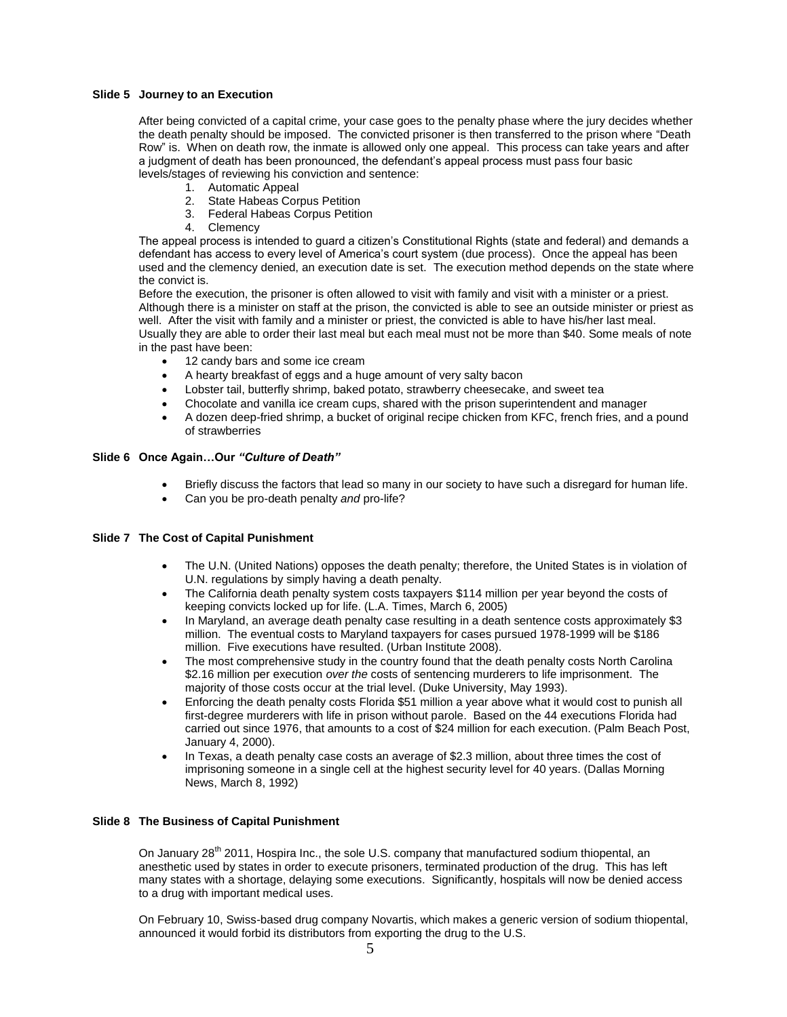# **Slide 5 Journey to an Execution**

After being convicted of a capital crime, your case goes to the penalty phase where the jury decides whether the death penalty should be imposed. The convicted prisoner is then transferred to the prison where "Death Row" is. When on death row, the inmate is allowed only one appeal. This process can take years and after a judgment of death has been pronounced, the defendant's appeal process must pass four basic levels/stages of reviewing his conviction and sentence:

- 1. Automatic Appeal
- 2. State Habeas Corpus Petition
- 3. Federal Habeas Corpus Petition
- 4. Clemency

The appeal process is intended to guard a citizen's Constitutional Rights (state and federal) and demands a defendant has access to every level of America's court system (due process). Once the appeal has been used and the clemency denied, an execution date is set. The execution method depends on the state where the convict is.

Before the execution, the prisoner is often allowed to visit with family and visit with a minister or a priest. Although there is a minister on staff at the prison, the convicted is able to see an outside minister or priest as well. After the visit with family and a minister or priest, the convicted is able to have his/her last meal. Usually they are able to order their last meal but each meal must not be more than \$40. Some meals of note in the past have been:

- 12 candy bars and some ice cream
- A hearty breakfast of eggs and a huge amount of very salty bacon
- Lobster tail, butterfly shrimp, baked potato, strawberry cheesecake, and sweet tea
- Chocolate and vanilla ice cream cups, shared with the prison superintendent and manager
- A dozen deep-fried shrimp, a bucket of original recipe chicken from KFC, french fries, and a pound of strawberries

#### **Slide 6 Once Again…Our** *"Culture of Death"*

- Briefly discuss the factors that lead so many in our society to have such a disregard for human life.
- Can you be pro-death penalty *and* pro-life?

# **Slide 7 The Cost of Capital Punishment**

- The U.N. (United Nations) opposes the death penalty; therefore, the United States is in violation of U.N. regulations by simply having a death penalty.
- The California death penalty system costs taxpayers \$114 million per year beyond the costs of keeping convicts locked up for life. (L.A. Times, March 6, 2005)
- In Maryland, an average death penalty case resulting in a death sentence costs approximately \$3 million. The eventual costs to Maryland taxpayers for cases pursued 1978-1999 will be \$186 million. Five executions have resulted. (Urban Institute 2008).
- The most comprehensive study in the country found that the death penalty costs North Carolina \$2.16 million per execution *over the* costs of sentencing murderers to life imprisonment. The majority of those costs occur at the trial level. (Duke University, May 1993).
- Enforcing the death penalty costs Florida \$51 million a year above what it would cost to punish all first-degree murderers with life in prison without parole. Based on the 44 executions Florida had carried out since 1976, that amounts to a cost of \$24 million for each execution. (Palm Beach Post, January 4, 2000).
- In Texas, a death penalty case costs an average of \$2.3 million, about three times the cost of imprisoning someone in a single cell at the highest security level for 40 years. (Dallas Morning News, March 8, 1992)

#### **Slide 8 The Business of Capital Punishment**

On January 28<sup>th</sup> 2011, Hospira Inc., the sole U.S. company that manufactured sodium thiopental, an anesthetic used by states in order to execute prisoners, terminated production of the drug. This has left many states with a shortage, delaying some executions. Significantly, hospitals will now be denied access to a drug with important medical uses.

On February 10, Swiss-based drug company Novartis, which makes a generic version of sodium thiopental, announced it would forbid its distributors from exporting the drug to the U.S.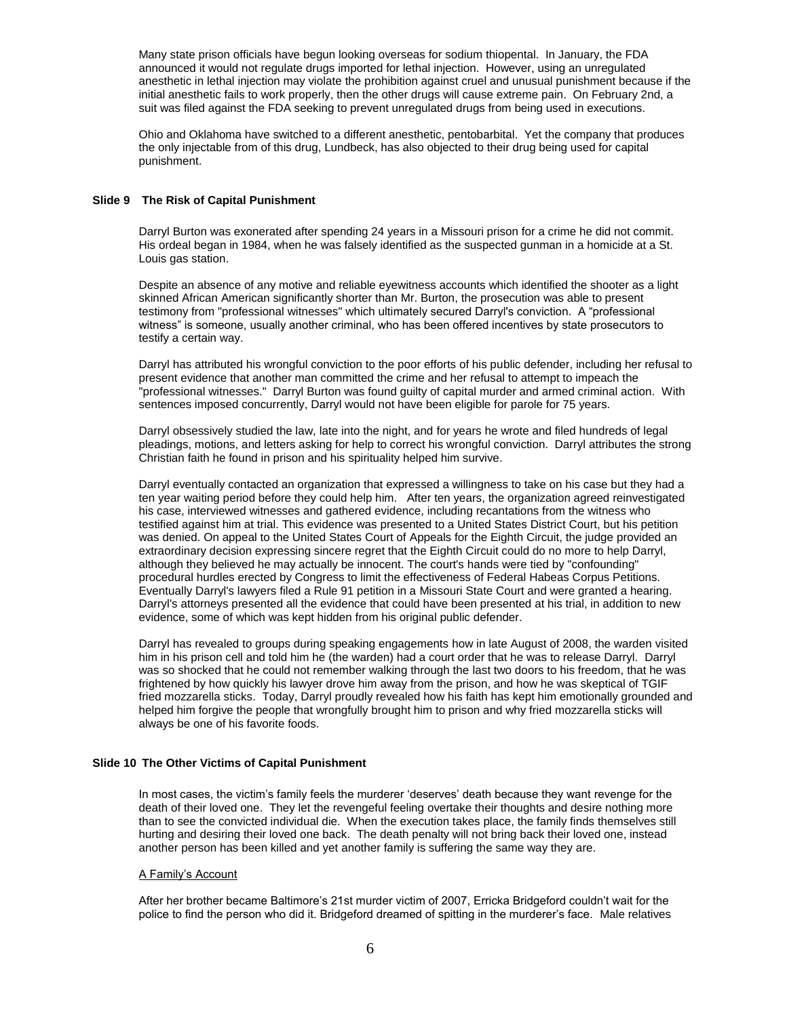Many state prison officials have begun looking overseas for sodium thiopental. In January, the FDA announced it would not regulate drugs imported for lethal injection. However, using an unregulated anesthetic in lethal injection may violate the prohibition against cruel and unusual punishment because if the initial anesthetic fails to work properly, then the other drugs will cause extreme pain. On February 2nd, a suit was filed against the FDA seeking to prevent unregulated drugs from being used in executions.

Ohio and Oklahoma have switched to a different anesthetic, pentobarbital. Yet the company that produces the only injectable from of this drug, Lundbeck, has also objected to their drug being used for capital punishment.

#### **Slide 9 The Risk of Capital Punishment**

Darryl Burton was exonerated after spending 24 years in a Missouri prison for a crime he did not commit. His ordeal began in 1984, when he was falsely identified as the suspected gunman in a homicide at a St. Louis gas station.

Despite an absence of any motive and reliable eyewitness accounts which identified the shooter as a light skinned African American significantly shorter than Mr. Burton, the prosecution was able to present testimony from "professional witnesses" which ultimately secured Darryl's conviction. A "professional witness" is someone, usually another criminal, who has been offered incentives by state prosecutors to testify a certain way.

Darryl has attributed his wrongful conviction to the poor efforts of his public defender, including her refusal to present evidence that another man committed the crime and her refusal to attempt to impeach the "professional witnesses." Darryl Burton was found guilty of capital murder and armed criminal action. With sentences imposed concurrently, Darryl would not have been eligible for parole for 75 years.

Darryl obsessively studied the law, late into the night, and for years he wrote and filed hundreds of legal pleadings, motions, and letters asking for help to correct his wrongful conviction. Darryl attributes the strong Christian faith he found in prison and his spirituality helped him survive.

Darryl eventually contacted an organization that expressed a willingness to take on his case but they had a ten year waiting period before they could help him. After ten years, the organization agreed reinvestigated his case, interviewed witnesses and gathered evidence, including recantations from the witness who testified against him at trial. This evidence was presented to a United States District Court, but his petition was denied. On appeal to the United States Court of Appeals for the Eighth Circuit, the judge provided an extraordinary decision expressing sincere regret that the Eighth Circuit could do no more to help Darryl, although they believed he may actually be innocent. The court's hands were tied by "confounding" procedural hurdles erected by Congress to limit the effectiveness of Federal Habeas Corpus Petitions. Eventually Darryl's lawyers filed a Rule 91 petition in a Missouri State Court and were granted a hearing. Darryl's attorneys presented all the evidence that could have been presented at his trial, in addition to new evidence, some of which was kept hidden from his original public defender.

Darryl has revealed to groups during speaking engagements how in late August of 2008, the warden visited him in his prison cell and told him he (the warden) had a court order that he was to release Darryl. Darryl was so shocked that he could not remember walking through the last two doors to his freedom, that he was frightened by how quickly his lawyer drove him away from the prison, and how he was skeptical of TGIF fried mozzarella sticks. Today, Darryl proudly revealed how his faith has kept him emotionally grounded and helped him forgive the people that wrongfully brought him to prison and why fried mozzarella sticks will always be one of his favorite foods.

#### **Slide 10 The Other Victims of Capital Punishment**

In most cases, the victim's family feels the murderer 'deserves' death because they want revenge for the death of their loved one. They let the revengeful feeling overtake their thoughts and desire nothing more than to see the convicted individual die. When the execution takes place, the family finds themselves still hurting and desiring their loved one back. The death penalty will not bring back their loved one, instead another person has been killed and yet another family is suffering the same way they are.

### A Family's Account

After her brother became Baltimore's 21st murder victim of 2007, Erricka Bridgeford couldn't wait for the police to find the person who did it. Bridgeford dreamed of spitting in the murderer's face. Male relatives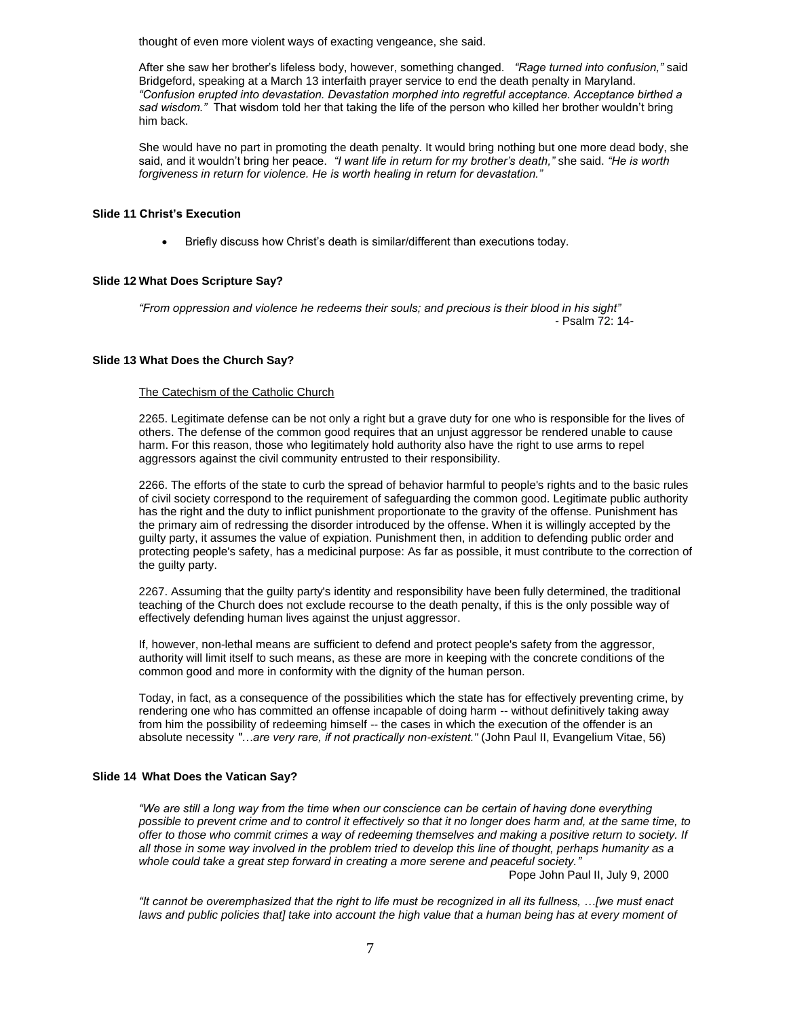thought of even more violent ways of exacting vengeance, she said.

After she saw her brother's lifeless body, however, something changed. *"Rage turned into confusion,"* said Bridgeford, speaking at a March 13 interfaith prayer service to end the death penalty in Maryland. *"Confusion erupted into devastation. Devastation morphed into regretful acceptance. Acceptance birthed a sad wisdom."* That wisdom told her that taking the life of the person who killed her brother wouldn't bring him back.

She would have no part in promoting the death penalty. It would bring nothing but one more dead body, she said, and it wouldn't bring her peace. *"I want life in return for my brother's death,"* she said. *"He is worth forgiveness in return for violence. He is worth healing in return for devastation."*

## **Slide 11 Christ's Execution**

Briefly discuss how Christ's death is similar/different than executions today.

## **Slide 12 What Does Scripture Say?**

*"From oppression and violence he redeems their souls; and precious is their blood in his sight"*  - Psalm 72: 14-

# **Slide 13 What Does the Church Say?**

#### The Catechism of the Catholic Church

2265. Legitimate defense can be not only a right but a grave duty for one who is responsible for the lives of others. The defense of the common good requires that an unjust aggressor be rendered unable to cause harm. For this reason, those who legitimately hold authority also have the right to use arms to repel aggressors against the civil community entrusted to their responsibility.

2266. The efforts of the state to curb the spread of behavior harmful to people's rights and to the basic rules of civil society correspond to the requirement of safeguarding the common good. Legitimate public authority has the right and the duty to inflict punishment proportionate to the gravity of the offense. Punishment has the primary aim of redressing the disorder introduced by the offense. When it is willingly accepted by the guilty party, it assumes the value of expiation. Punishment then, in addition to defending public order and protecting people's safety, has a medicinal purpose: As far as possible, it must contribute to the correction of the guilty party.

2267. Assuming that the guilty party's identity and responsibility have been fully determined, the traditional teaching of the Church does not exclude recourse to the death penalty, if this is the only possible way of effectively defending human lives against the uniust aggressor.

If, however, non-lethal means are sufficient to defend and protect people's safety from the aggressor, authority will limit itself to such means, as these are more in keeping with the concrete conditions of the common good and more in conformity with the dignity of the human person.

Today, in fact, as a consequence of the possibilities which the state has for effectively preventing crime, by rendering one who has committed an offense incapable of doing harm -- without definitively taking away from him the possibility of redeeming himself -- the cases in which the execution of the offender is an absolute necessity *"…are very rare, if not practically non-existent."* (John Paul II, Evangelium Vitae, 56)

# **Slide 14 What Does the Vatican Say?**

*"We are still a long way from the time when our conscience can be certain of having done everything possible to prevent crime and to control it effectively so that it no longer does harm and, at the same time, to offer to those who commit crimes a way of redeeming themselves and making a positive return to society. If all those in some way involved in the problem tried to develop this line of thought, perhaps humanity as a whole could take a great step forward in creating a more serene and peaceful society."* 

Pope John Paul II, July 9, 2000

*"It cannot be overemphasized that the right to life must be recognized in all its fullness, …[we must enact laws and public policies that] take into account the high value that a human being has at every moment of*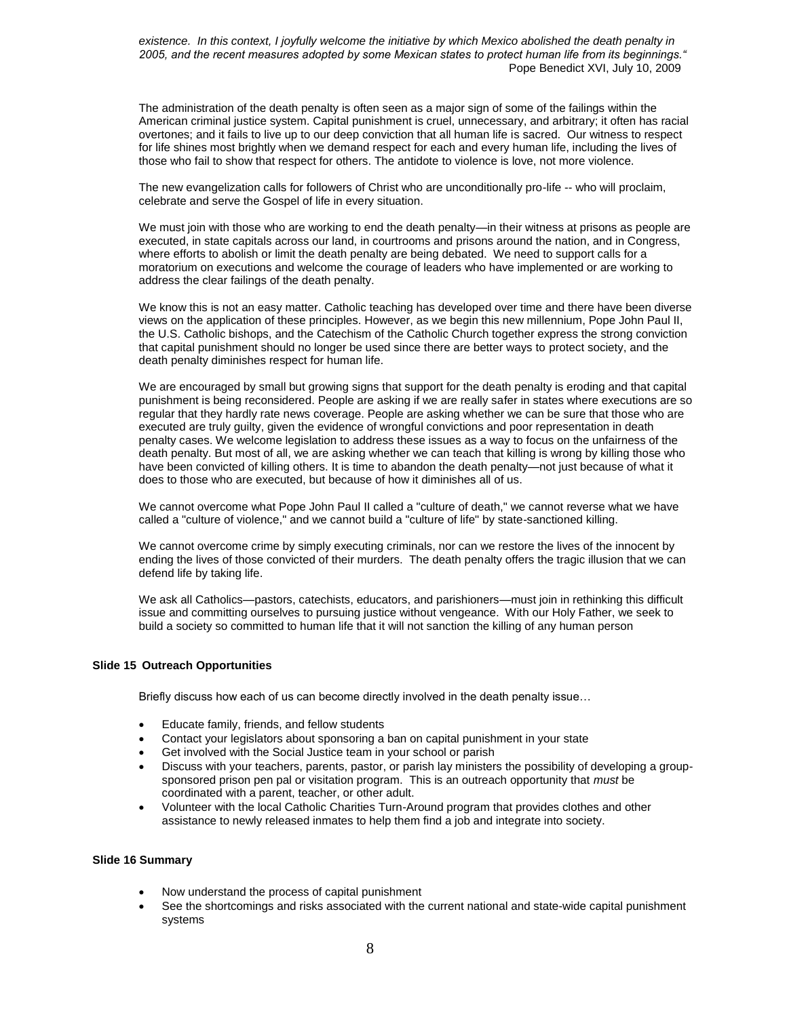*existence. In this context, I joyfully welcome the initiative by which Mexico abolished the death penalty in 2005, and the recent measures adopted by some Mexican states to protect human life from its beginnings."*  Pope Benedict XVI, July 10, 2009

The administration of the death penalty is often seen as a major sign of some of the failings within the American criminal justice system. Capital punishment is cruel, unnecessary, and arbitrary; it often has racial overtones; and it fails to live up to our deep conviction that all human life is sacred. Our witness to respect for life shines most brightly when we demand respect for each and every human life, including the lives of those who fail to show that respect for others. The antidote to violence is love, not more violence.

The new evangelization calls for followers of Christ who are unconditionally pro-life -- who will proclaim, celebrate and serve the Gospel of life in every situation.

We must join with those who are working to end the death penalty—in their witness at prisons as people are executed, in state capitals across our land, in courtrooms and prisons around the nation, and in Congress, where efforts to abolish or limit the death penalty are being debated. We need to support calls for a moratorium on executions and welcome the courage of leaders who have implemented or are working to address the clear failings of the death penalty.

We know this is not an easy matter. Catholic teaching has developed over time and there have been diverse views on the application of these principles. However, as we begin this new millennium, Pope John Paul II, the U.S. Catholic bishops, and the Catechism of the Catholic Church together express the strong conviction that capital punishment should no longer be used since there are better ways to protect society, and the death penalty diminishes respect for human life.

We are encouraged by small but growing signs that support for the death penalty is eroding and that capital punishment is being reconsidered. People are asking if we are really safer in states where executions are so regular that they hardly rate news coverage. People are asking whether we can be sure that those who are executed are truly guilty, given the evidence of wrongful convictions and poor representation in death penalty cases. We welcome legislation to address these issues as a way to focus on the unfairness of the death penalty. But most of all, we are asking whether we can teach that killing is wrong by killing those who have been convicted of killing others. It is time to abandon the death penalty—not just because of what it does to those who are executed, but because of how it diminishes all of us.

We cannot overcome what Pope John Paul II called a "culture of death," we cannot reverse what we have called a "culture of violence," and we cannot build a "culture of life" by state-sanctioned killing.

We cannot overcome crime by simply executing criminals, nor can we restore the lives of the innocent by ending the lives of those convicted of their murders. The death penalty offers the tragic illusion that we can defend life by taking life.

We ask all Catholics—pastors, catechists, educators, and parishioners—must join in rethinking this difficult issue and committing ourselves to pursuing justice without vengeance. With our Holy Father, we seek to build a society so committed to human life that it will not sanction the killing of any human person

#### **Slide 15 Outreach Opportunities**

Briefly discuss how each of us can become directly involved in the death penalty issue…

- Educate family, friends, and fellow students
- Contact your legislators about sponsoring a ban on capital punishment in your state
- Get involved with the Social Justice team in your school or parish
- Discuss with your teachers, parents, pastor, or parish lay ministers the possibility of developing a groupsponsored prison pen pal or visitation program. This is an outreach opportunity that *must* be coordinated with a parent, teacher, or other adult.
- Volunteer with the local Catholic Charities Turn-Around program that provides clothes and other assistance to newly released inmates to help them find a job and integrate into society.

### **Slide 16 Summary**

- Now understand the process of capital punishment
- See the shortcomings and risks associated with the current national and state-wide capital punishment systems